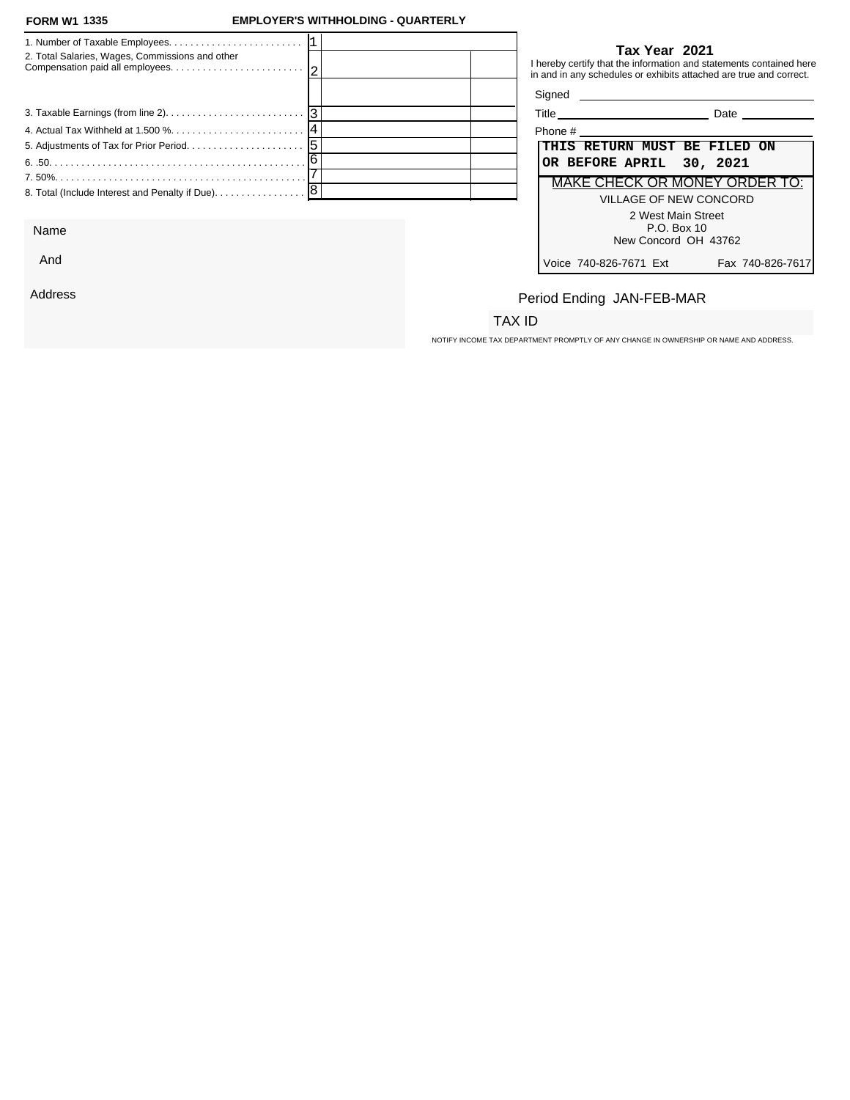#### **FORM W1 1335**

### **FORM W1 EMPLOYER'S WITHHOLDING - QUARTERLY**

| 2. Total Salaries, Wages, Commissions and other |  |         | Tax Year 2021<br>I hereby certify that the information and statements contained here<br>in and in any schedules or exhibits attached are true and correct. |
|-------------------------------------------------|--|---------|------------------------------------------------------------------------------------------------------------------------------------------------------------|
|                                                 |  |         |                                                                                                                                                            |
|                                                 |  |         | <b>Date Date</b>                                                                                                                                           |
|                                                 |  | Phone # |                                                                                                                                                            |
|                                                 |  |         | THIS RETURN MUST BE FILED ON                                                                                                                               |
|                                                 |  |         | OR BEFORE APRIL 30, 2021                                                                                                                                   |
|                                                 |  |         | MAKE CHECK OR MONEY ORDER TO:                                                                                                                              |
|                                                 |  |         | VILLAGE OF NEW CONCORD                                                                                                                                     |
|                                                 |  |         | 2 West Main Street                                                                                                                                         |

Name

And

Address

### **Tax Year 2021**

| Title                         | Date             |
|-------------------------------|------------------|
| Phone #                       |                  |
| THIS RETURN MUST BE FILED ON  |                  |
| OR BEFORE APRIL 30, 2021      |                  |
| MAKE CHECK OR MONEY ORDER TO: |                  |
| VILLAGE OF NEW CONCORD        |                  |
| 2 West Main Street            |                  |
| P.O. Box 10                   |                  |
| New Concord OH 43762          |                  |
| Voice 740-826-7671 Ext        | Fax 740-826-7617 |

# Period Ending JAN-FEB-MAR

### TAX ID

NOTIFY INCOME TAX DEPARTMENT PROMPTLY OF ANY CHANGE IN OWNERSHIP OR NAME AND ADDRESS.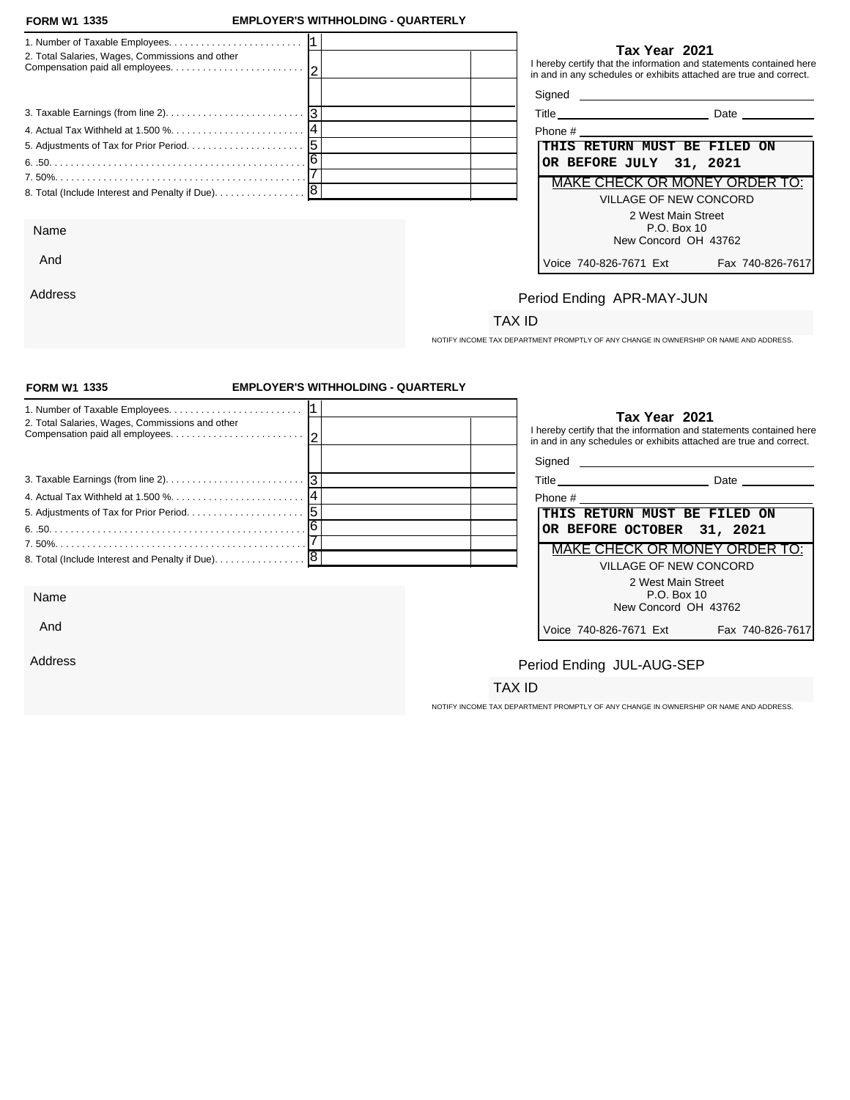### **FORM W1 1335**

And

Address

### **FORM W1 EMPLOYER'S WITHHOLDING - QUARTERLY**

|                                                 | Tax Year 2021                                                                                                                             |
|-------------------------------------------------|-------------------------------------------------------------------------------------------------------------------------------------------|
| 2. Total Salaries, Wages, Commissions and other | I hereby certify that the information and statements contained here<br>in and in any schedules or exhibits attached are true and correct. |
|                                                 | Signed                                                                                                                                    |
|                                                 | Title<br>Date                                                                                                                             |
|                                                 | Phone $#$                                                                                                                                 |
|                                                 | THIS RETURN MUST BE FILED ON                                                                                                              |
|                                                 | OR BEFORE JULY 31, 2021                                                                                                                   |
|                                                 | MAKE CHECK OR MONEY ORDER TO:                                                                                                             |
|                                                 | <b>VILLAGE OF NEW CONCORD</b>                                                                                                             |
|                                                 | 2 West Main Street                                                                                                                        |
| Name                                            | P.O. Box 10                                                                                                                               |

### **Tax Year 2021**

| Title | Date |
|-------|------|
|       |      |

| Phone #                              |                  |
|--------------------------------------|------------------|
| THIS RETURN MUST BE FILED ON         |                  |
| OR BEFORE JULY 31, 2021              |                  |
| <b>MAKE CHECK OR MONEY ORDER TO:</b> |                  |
| VILLAGE OF NEW CONCORD               |                  |
| 2 West Main Street                   |                  |
| P.O. Box 10                          |                  |
| New Concord OH 43762                 |                  |
| Voice 740-826-7671 Ext               | Fax 740-826-7617 |

# Period Ending APR-MAY-JUN

## TAX ID

NOTIFY INCOME TAX DEPARTMENT PROMPTLY OF ANY CHANGE IN OWNERSHIP OR NAME AND ADDRESS.

| <b>FORM W1 1335</b>                                                                                 | <b>EMPLOYER'S WITHHOLDING - QUARTERLY</b> |                                                                                                                                                            |
|-----------------------------------------------------------------------------------------------------|-------------------------------------------|------------------------------------------------------------------------------------------------------------------------------------------------------------|
| 2. Total Salaries, Wages, Commissions and other                                                     |                                           | Tax Year 2021<br>I hereby certify that the information and statements contained here<br>in and in any schedules or exhibits attached are true and correct. |
| 3. Taxable Earnings (from line 2). $\ldots$ . $\ldots$ . $\ldots$ . $\ldots$ . $\ldots$ . $\vert$ 3 |                                           | Title Date Date                                                                                                                                            |
|                                                                                                     |                                           |                                                                                                                                                            |
|                                                                                                     |                                           | THIS RETURN MUST BE FILED ON                                                                                                                               |
|                                                                                                     |                                           | OR BEFORE OCTOBER 31, 2021                                                                                                                                 |
|                                                                                                     |                                           | MAKE CHECK OR MONEY ORDER TO:                                                                                                                              |
|                                                                                                     |                                           | <b>VILLAGE OF NEW CONCORD</b>                                                                                                                              |
| Name                                                                                                |                                           | 2 West Main Street<br>P.O. Box 10<br>New Concord OH 43762                                                                                                  |
| And                                                                                                 |                                           | Voice 740-826-7671 Ext<br>Fax 740-826-7617                                                                                                                 |
| Address                                                                                             |                                           | Period Ending JUL-AUG-SEP                                                                                                                                  |
|                                                                                                     |                                           | TAX ID                                                                                                                                                     |

NOTIFY INCOME TAX DEPARTMENT PROMPTLY OF ANY CHANGE IN OWNERSHIP OR NAME AND ADDRESS.